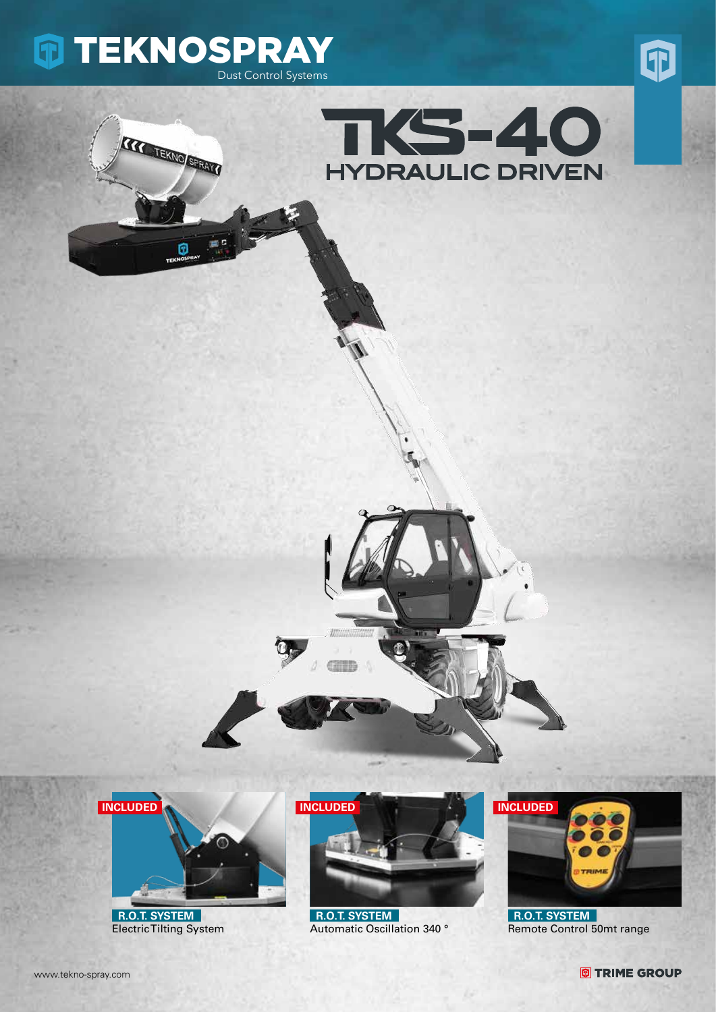

**CONTRACTORS** 

Θ







 **R.O.T. SYSTEM** Electric Tilting System



 **R.O.T. SYSTEM** Automatic Oscillation 340 °



 **R.O.T. SYSTEM** Remote Control 50mt range